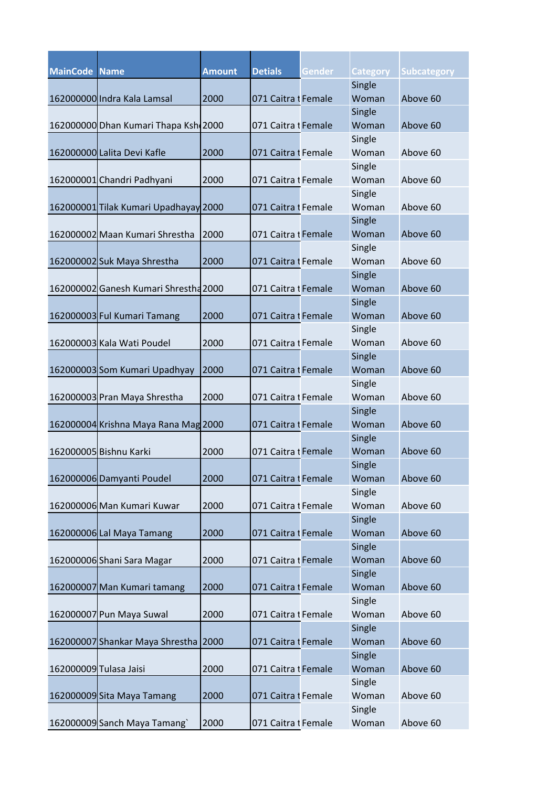| <b>MainCode Name</b> |                                       | <b>Amount</b> | <b>Detials</b>      | Gender | <b>Category</b> | <b>Subcategory</b> |
|----------------------|---------------------------------------|---------------|---------------------|--------|-----------------|--------------------|
|                      |                                       |               |                     |        | Single          |                    |
|                      | 162000000 Indra Kala Lamsal           | 2000          | 071 Caitra I Female |        | Woman           | Above 60           |
|                      |                                       |               |                     |        | Single          |                    |
|                      | 162000000 Dhan Kumari Thapa Ksh 2000  |               | 071 Caitra I Female |        | Woman           | Above 60           |
|                      |                                       |               |                     |        | Single          |                    |
|                      | 162000000 Lalita Devi Kafle           | 2000          | 071 Caitra I Female |        | Woman           | Above 60           |
|                      |                                       |               |                     |        | Single          |                    |
|                      | 162000001 Chandri Padhyani            | 2000          | 071 Caitra I Female |        | Woman           | Above 60           |
|                      |                                       |               |                     |        | Single          |                    |
|                      | 162000001 Tilak Kumari Upadhayay 2000 |               | 071 Caitra t Female |        | Woman           | Above 60           |
|                      |                                       |               |                     |        | Single          |                    |
|                      | 162000002 Maan Kumari Shrestha        | 2000          | 071 Caitra I Female |        | Woman           | Above 60           |
|                      |                                       |               |                     |        | Single          |                    |
|                      | 162000002 Suk Maya Shrestha           | 2000          | 071 Caitra I Female |        | Woman           | Above 60           |
|                      |                                       |               |                     |        | Single          |                    |
|                      | 162000002 Ganesh Kumari Shrestha 2000 |               | 071 Caitra I Female |        | Woman           | Above 60           |
|                      |                                       |               |                     |        | Single          |                    |
|                      | 162000003 Ful Kumari Tamang           | 2000          | 071 Caitra I Female |        | Woman           | Above 60           |
|                      |                                       |               |                     |        | Single          |                    |
|                      | 162000003 Kala Wati Poudel            | 2000          | 071 Caitra I Female |        | Woman           | Above 60           |
|                      |                                       |               |                     |        | Single          |                    |
|                      | 162000003 Som Kumari Upadhyay         | 2000          | 071 Caitra I Female |        | Woman           | Above 60           |
|                      |                                       |               |                     |        | Single          |                    |
|                      | 162000003 Pran Maya Shrestha          | 2000          | 071 Caitra I Female |        | Woman           | Above 60           |
|                      |                                       |               |                     |        | Single          |                    |
|                      | 162000004 Krishna Maya Rana Mag 2000  |               | 071 Caitra 1 Female |        | Woman           | Above 60           |
|                      |                                       |               |                     |        | Single          |                    |
|                      | 162000005 Bishnu Karki                | 2000          | 071 Caitra t Female |        | Woman           | Above 60           |
|                      |                                       |               |                     |        | Single          |                    |
|                      | 162000006 Damyanti Poudel             | 2000          | 071 Caitra I Female |        | Woman           | Above 60           |
|                      |                                       |               |                     |        | Single          |                    |
|                      | 162000006 Man Kumari Kuwar            | 2000          | 071 Caitra i Female |        | Woman           | Above 60           |
|                      |                                       |               |                     |        | Single          |                    |
|                      | 162000006 Lal Maya Tamang             | 2000          | 071 Caitra I Female |        | Woman           | Above 60           |
|                      |                                       |               |                     |        | Single          |                    |
|                      | 162000006 Shani Sara Magar            | 2000          | 071 Caitra I Female |        | Woman           | Above 60           |
|                      |                                       |               |                     |        | Single          |                    |
|                      | 162000007 Man Kumari tamang           | 2000          | 071 Caitra I Female |        | Woman           | Above 60           |
|                      |                                       |               |                     |        | Single          |                    |
|                      | 162000007 Pun Maya Suwal              | 2000          | 071 Caitra i Female |        | Woman           | Above 60           |
|                      |                                       |               |                     |        | Single          |                    |
|                      | 162000007 Shankar Maya Shrestha       | 2000          | 071 Caitra I Female |        | Woman           | Above 60           |
|                      |                                       |               |                     |        | Single          |                    |
|                      | 162000009 Tulasa Jaisi                | 2000          | 071 Caitra I Female |        | Woman           | Above 60           |
|                      |                                       |               |                     |        | Single          |                    |
|                      | 162000009 Sita Maya Tamang            | 2000          | 071 Caitra I Female |        | Woman           | Above 60           |
|                      |                                       |               |                     |        | Single          |                    |
|                      | 162000009 Sanch Maya Tamang`          | 2000          | 071 Caitra I Female |        | Woman           | Above 60           |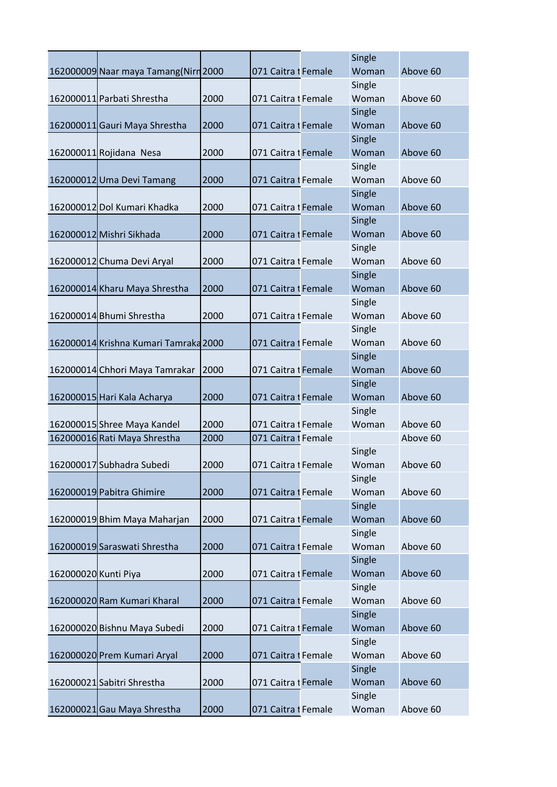|                      |                                       |      |                     | Single          |          |
|----------------------|---------------------------------------|------|---------------------|-----------------|----------|
|                      | 162000009 Naar maya Tamang (Nirn 2000 |      | 071 Caitra I Female | Woman           | Above 60 |
|                      |                                       |      |                     | Single          |          |
|                      | 162000011 Parbati Shrestha            | 2000 | 071 Caitra I Female | Woman           | Above 60 |
|                      |                                       |      |                     | Single          |          |
|                      | 162000011 Gauri Maya Shrestha         | 2000 | 071 Caitra I Female | Woman           | Above 60 |
|                      |                                       |      |                     | Single          |          |
|                      | 162000011 Rojidana Nesa               | 2000 | 071 Caitra 1 Female | Woman           | Above 60 |
|                      |                                       |      |                     | Single          |          |
|                      | 162000012 Uma Devi Tamang             | 2000 | 071 Caitra I Female | Woman           | Above 60 |
|                      |                                       |      |                     | Single          |          |
|                      | 162000012 Dol Kumari Khadka           | 2000 | 071 Caitra I Female | Woman           | Above 60 |
|                      | 162000012 Mishri Sikhada              | 2000 | 071 Caitra I Female | Single<br>Woman | Above 60 |
|                      |                                       |      |                     | Single          |          |
|                      | 162000012 Chuma Devi Aryal            | 2000 | 071 Caitra I Female | Woman           | Above 60 |
|                      |                                       |      |                     | Single          |          |
|                      | 162000014 Kharu Maya Shrestha         | 2000 | 071 Caitra I Female | Woman           | Above 60 |
|                      |                                       |      |                     | Single          |          |
|                      | 162000014 Bhumi Shrestha              | 2000 | 071 Caitra I Female | Woman           | Above 60 |
|                      |                                       |      |                     | Single          |          |
|                      | 162000014 Krishna Kumari Tamraka 2000 |      | 071 Caitra I Female | Woman           | Above 60 |
|                      |                                       |      |                     | Single          |          |
|                      | 162000014 Chhori Maya Tamrakar        | 2000 | 071 Caitra I Female | Woman           | Above 60 |
|                      |                                       |      |                     | Single          |          |
|                      | 162000015 Hari Kala Acharya           | 2000 | 071 Caitra I Female | Woman           | Above 60 |
|                      |                                       |      |                     | Single          |          |
|                      | 162000015 Shree Maya Kandel           | 2000 | 071 Caitra I Female | Woman           | Above 60 |
|                      | 162000016 Rati Maya Shrestha          | 2000 | 071 Caitra I Female |                 | Above 60 |
|                      |                                       |      |                     | Single          |          |
|                      | 162000017 Subhadra Subedi             | 2000 | 071 Caitra I Female | Woman           | Above 60 |
|                      |                                       |      |                     | Single          |          |
|                      | 162000019 Pabitra Ghimire             | 2000 | 071 Caitra I Female | Woman           | Above 60 |
|                      |                                       |      |                     | Single<br>Woman |          |
|                      | 162000019 Bhim Maya Maharjan          | 2000 | 071 Caitra I Female | Single          | Above 60 |
|                      | 162000019 Saraswati Shrestha          | 2000 | 071 Caitra I Female | Woman           | Above 60 |
|                      |                                       |      |                     | Single          |          |
| 162000020 Kunti Piya |                                       | 2000 | 071 Caitra I Female | Woman           | Above 60 |
|                      |                                       |      |                     | Single          |          |
|                      | 162000020 Ram Kumari Kharal           | 2000 | 071 Caitra I Female | Woman           | Above 60 |
|                      |                                       |      |                     | Single          |          |
|                      | 162000020 Bishnu Maya Subedi          | 2000 | 071 Caitra I Female | Woman           | Above 60 |
|                      |                                       |      |                     | Single          |          |
|                      | 162000020 Prem Kumari Aryal           | 2000 | 071 Caitra I Female | Woman           | Above 60 |
|                      |                                       |      |                     | Single          |          |
|                      | 162000021 Sabitri Shrestha            | 2000 | 071 Caitra I Female | Woman           | Above 60 |
|                      |                                       |      |                     | Single          |          |
|                      | 162000021 Gau Maya Shrestha           | 2000 | 071 Caitra I Female | Woman           | Above 60 |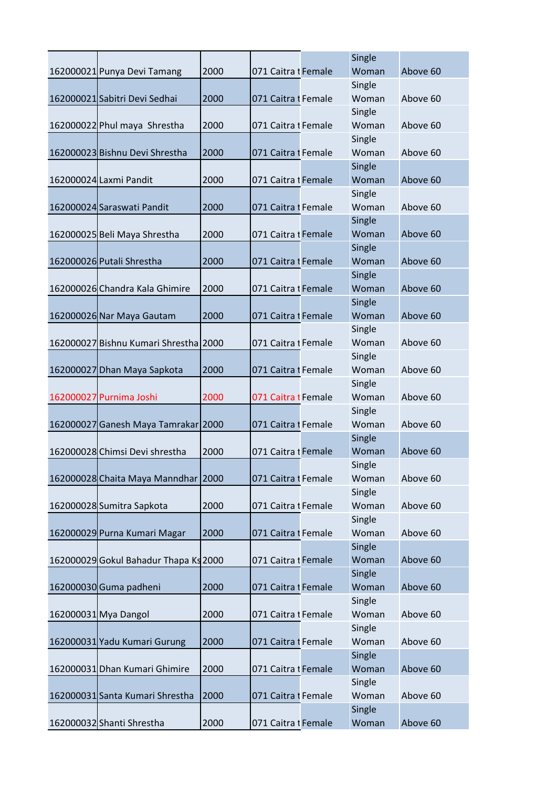|                                       |      |                     | Single          |          |
|---------------------------------------|------|---------------------|-----------------|----------|
| 162000021 Punya Devi Tamang           | 2000 | 071 Caitra I Female | Woman           | Above 60 |
|                                       |      |                     | Single          |          |
| 162000021 Sabitri Devi Sedhai         | 2000 | 071 Caitra I Female | Woman           | Above 60 |
|                                       |      |                     | Single          |          |
| 162000022 Phul maya Shrestha          | 2000 | 071 Caitra I Female | Woman           | Above 60 |
|                                       |      |                     | Single          |          |
| 162000023 Bishnu Devi Shrestha        | 2000 | 071 Caitra I Female | Woman           | Above 60 |
|                                       |      |                     | Single          |          |
| 162000024 Laxmi Pandit                | 2000 | 071 Caitra I Female | Woman           | Above 60 |
|                                       |      |                     | Single          |          |
| 162000024 Saraswati Pandit            | 2000 | 071 Caitra I Female | Woman           | Above 60 |
|                                       |      |                     | Single          |          |
| 162000025 Beli Maya Shrestha          | 2000 | 071 Caitra 1 Female | Woman           | Above 60 |
|                                       |      |                     | Single          |          |
| 162000026 Putali Shrestha             | 2000 | 071 Caitra I Female | Woman           | Above 60 |
|                                       |      |                     | Single          |          |
| 162000026 Chandra Kala Ghimire        | 2000 | 071 Caitra I Female | Woman           | Above 60 |
|                                       |      |                     | Single          |          |
| 162000026 Nar Maya Gautam             | 2000 | 071 Caitra I Female | Woman           | Above 60 |
|                                       |      |                     | Single          |          |
| 162000027 Bishnu Kumari Shrestha 2000 |      | 071 Caitra I Female | Woman           | Above 60 |
|                                       |      |                     | Single          |          |
| 162000027 Dhan Maya Sapkota           | 2000 | 071 Caitra I Female | Woman           | Above 60 |
|                                       |      |                     | Single          |          |
| 162000027 Purnima Joshi               | 2000 | 071 Caitra I Female | Woman           | Above 60 |
|                                       |      |                     | Single          |          |
| 162000027 Ganesh Maya Tamrakar 2000   |      | 071 Caitra I Female | Woman           | Above 60 |
|                                       |      |                     | Single          |          |
| 162000028 Chimsi Devi shrestha        | 2000 | 071 Caitra I Female | Woman           | Above 60 |
|                                       |      | 071 Caitra I Female | Single<br>Woman | Above 60 |
| 162000028 Chaita Maya Manndhar 2000   |      |                     |                 |          |
|                                       | 2000 | 071 Caitra i Female | Single<br>Woman | Above 60 |
| 162000028 Sumitra Sapkota             |      |                     | Single          |          |
| 162000029 Purna Kumari Magar          | 2000 | 071 Caitra I Female | Woman           | Above 60 |
|                                       |      |                     | Single          |          |
| 162000029 Gokul Bahadur Thapa Ks 2000 |      | 071 Caitra I Female | Woman           | Above 60 |
|                                       |      |                     | Single          |          |
| 162000030 Guma padheni                | 2000 | 071 Caitra I Female | Woman           | Above 60 |
|                                       |      |                     | Single          |          |
| 162000031 Mya Dangol                  | 2000 | 071 Caitra i Female | Woman           | Above 60 |
|                                       |      |                     | Single          |          |
| 162000031 Yadu Kumari Gurung          | 2000 | 071 Caitra I Female | Woman           | Above 60 |
|                                       |      |                     | Single          |          |
| 162000031 Dhan Kumari Ghimire         | 2000 | 071 Caitra I Female | Woman           | Above 60 |
|                                       |      |                     | Single          |          |
| 162000031 Santa Kumari Shrestha       | 2000 | 071 Caitra t Female | Woman           | Above 60 |
|                                       |      |                     | Single          |          |
| 162000032 Shanti Shrestha             | 2000 | 071 Caitra I Female | Woman           | Above 60 |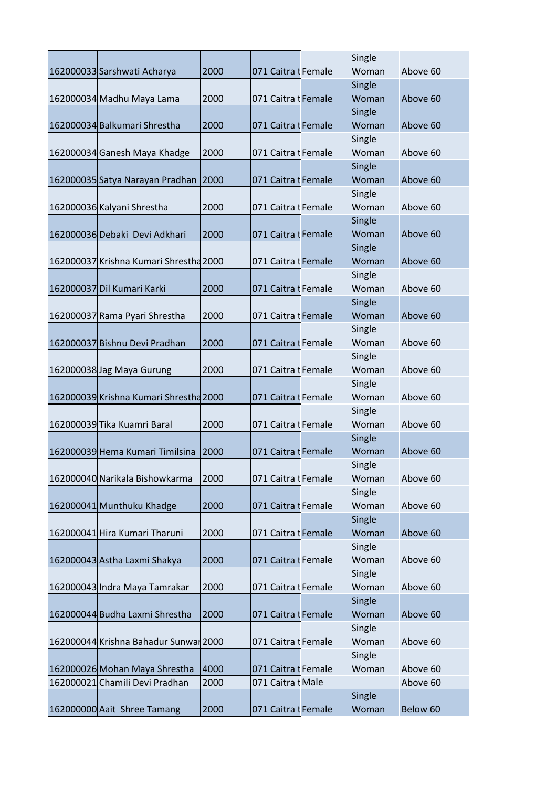|                                        |      |                     | Single          |          |
|----------------------------------------|------|---------------------|-----------------|----------|
| 162000033 Sarshwati Acharya            | 2000 | 071 Caitra I Female | Woman           | Above 60 |
|                                        |      |                     | Single          |          |
| 162000034 Madhu Maya Lama              | 2000 | 071 Caitra I Female | Woman           | Above 60 |
|                                        |      |                     | Single          |          |
| 162000034 Balkumari Shrestha           | 2000 | 071 Caitra I Female | Woman           | Above 60 |
|                                        |      |                     | Single          |          |
| 162000034 Ganesh Maya Khadge           | 2000 | 071 Caitra I Female | Woman           | Above 60 |
|                                        |      |                     | Single          |          |
| 162000035 Satya Narayan Pradhan        | 2000 | 071 Caitra I Female | Woman           | Above 60 |
|                                        |      |                     | Single          |          |
| 162000036 Kalyani Shrestha             | 2000 | 071 Caitra I Female | Woman           | Above 60 |
|                                        |      |                     | Single          |          |
| 162000036 Debaki Devi Adkhari          | 2000 | 071 Caitra I Female | Woman           | Above 60 |
|                                        |      |                     | Single          |          |
| 162000037 Krishna Kumari Shrestha 2000 |      | 071 Caitra t Female | Woman           | Above 60 |
|                                        |      |                     | Single          |          |
| 162000037 Dil Kumari Karki             | 2000 | 071 Caitra 1 Female | Woman           | Above 60 |
|                                        |      |                     | Single          |          |
| 162000037 Rama Pyari Shrestha          | 2000 | 071 Caitra I Female | Woman           | Above 60 |
|                                        |      |                     | Single          |          |
| 162000037 Bishnu Devi Pradhan          | 2000 | 071 Caitra I Female | Woman           | Above 60 |
|                                        |      |                     | Single          |          |
| 162000038 Jag Maya Gurung              | 2000 | 071 Caitra I Female | Woman           | Above 60 |
|                                        |      |                     | Single          |          |
| 162000039 Krishna Kumari Shrestha 2000 |      | 071 Caitra I Female | Woman           | Above 60 |
| 162000039 Tika Kuamri Baral            |      |                     | Single          |          |
|                                        | 2000 | 071 Caitra I Female | Woman           | Above 60 |
| 162000039 Hema Kumari Timilsina        |      | 071 Caitra I Female | Single<br>Woman | Above 60 |
|                                        | 2000 |                     | Single          |          |
| 162000040 Narikala Bishowkarma         | 2000 | 071 Caitra I Female | Woman           | Above 60 |
|                                        |      |                     | Single          |          |
| 162000041 Munthuku Khadge              | 2000 | 071 Caitra I Female | Woman           | Above 60 |
|                                        |      |                     | Single          |          |
| 162000041 Hira Kumari Tharuni          | 2000 | 071 Caitra I Female | Woman           | Above 60 |
|                                        |      |                     | Single          |          |
| 162000043 Astha Laxmi Shakya           | 2000 | 071 Caitra I Female | Woman           | Above 60 |
|                                        |      |                     | Single          |          |
| 162000043 Indra Maya Tamrakar          | 2000 | 071 Caitra I Female | Woman           | Above 60 |
|                                        |      |                     | Single          |          |
| 162000044 Budha Laxmi Shrestha         | 2000 | 071 Caitra I Female | Woman           | Above 60 |
|                                        |      |                     | Single          |          |
| 162000044 Krishna Bahadur Sunwar 2000  |      | 071 Caitra I Female | Woman           | Above 60 |
|                                        |      |                     | Single          |          |
| 162000026 Mohan Maya Shrestha          | 4000 | 071 Caitra I Female | Woman           | Above 60 |
| 162000021 Chamili Devi Pradhan         | 2000 | 071 Caitra I Male   |                 | Above 60 |
|                                        |      |                     | Single          |          |
| 162000000 Aait Shree Tamang            | 2000 | 071 Caitra I Female | Woman           | Below 60 |
|                                        |      |                     |                 |          |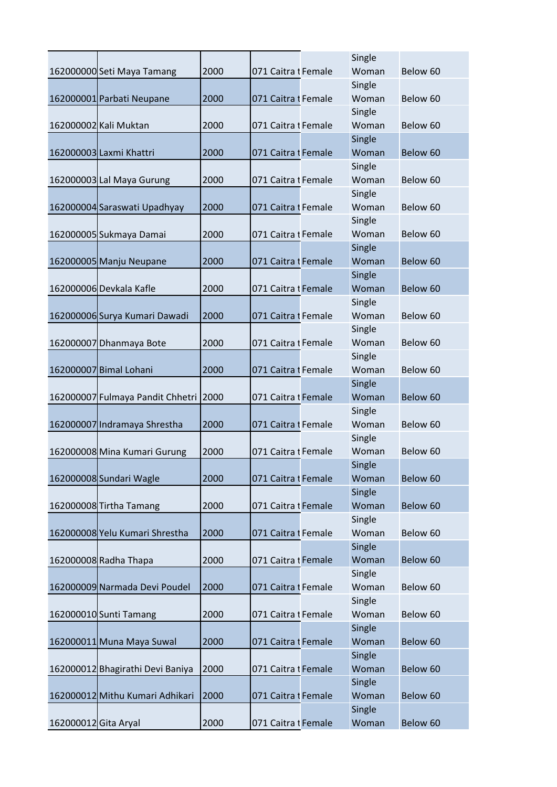|                      |                                  |      |                     | Single          |          |
|----------------------|----------------------------------|------|---------------------|-----------------|----------|
|                      | 162000000 Seti Maya Tamang       | 2000 | 071 Caitra I Female | Woman           | Below 60 |
|                      |                                  |      |                     | Single          |          |
|                      | 162000001 Parbati Neupane        | 2000 | 071 Caitra I Female | Woman           | Below 60 |
|                      |                                  |      |                     | Single          |          |
|                      | 162000002 Kali Muktan            | 2000 | 071 Caitra I Female | Woman           | Below 60 |
|                      |                                  |      |                     | Single          |          |
|                      | 162000003 Laxmi Khattri          | 2000 | 071 Caitra I Female | Woman           | Below 60 |
|                      |                                  |      |                     | Single          |          |
|                      | 162000003 Lal Maya Gurung        | 2000 | 071 Caitra I Female | Woman           | Below 60 |
|                      |                                  |      |                     | Single          |          |
|                      | 162000004 Saraswati Upadhyay     | 2000 | 071 Caitra I Female | Woman           | Below 60 |
|                      |                                  |      |                     | Single          |          |
|                      | 162000005 Sukmaya Damai          | 2000 | 071 Caitra I Female | Woman           | Below 60 |
|                      |                                  |      |                     | Single          |          |
|                      | 162000005 Manju Neupane          | 2000 | 071 Caitra I Female | Woman           | Below 60 |
|                      |                                  |      |                     | Single          |          |
|                      | 162000006 Devkala Kafle          | 2000 | 071 Caitra I Female | Woman           | Below 60 |
|                      |                                  |      |                     | Single          |          |
|                      | 162000006 Surya Kumari Dawadi    | 2000 | 071 Caitra I Female | Woman           | Below 60 |
|                      |                                  |      |                     | Single          |          |
|                      | 162000007 Dhanmaya Bote          | 2000 | 071 Caitra I Female | Woman           | Below 60 |
|                      |                                  |      |                     | Single          |          |
|                      | 162000007 Bimal Lohani           | 2000 | 071 Caitra I Female | Woman           | Below 60 |
|                      |                                  |      |                     | Single          |          |
|                      | 162000007 Fulmaya Pandit Chhetri | 2000 | 071 Caitra I Female | Woman           | Below 60 |
|                      |                                  |      |                     | Single          |          |
|                      | 162000007 Indramaya Shrestha     | 2000 | 071 Caitra I Female | Woman           | Below 60 |
|                      |                                  |      |                     | Single          |          |
|                      | 162000008 Mina Kumari Gurung     | 2000 | 071 Caitra I Female | Woman           | Below 60 |
|                      |                                  |      |                     | Single          |          |
|                      | 162000008 Sundari Wagle          | 2000 | 071 Caitra I Female | Woman           | Below 60 |
|                      |                                  |      |                     | Single          |          |
|                      | 162000008 Tirtha Tamang          | 2000 | 071 Caitra I Female | Woman           | Below 60 |
|                      |                                  |      |                     | Single          |          |
|                      | 162000008 Yelu Kumari Shrestha   | 2000 | 071 Caitra I Female | Woman           | Below 60 |
|                      |                                  |      |                     | Single<br>Woman |          |
|                      | 162000008 Radha Thapa            | 2000 | 071 Caitra I Female |                 | Below 60 |
|                      | 162000009 Narmada Devi Poudel    | 2000 |                     | Single<br>Woman | Below 60 |
|                      |                                  |      | 071 Caitra I Female | Single          |          |
|                      | 162000010 Sunti Tamang           | 2000 | 071 Caitra I Female | Woman           | Below 60 |
|                      |                                  |      |                     | Single          |          |
|                      | 162000011 Muna Maya Suwal        | 2000 | 071 Caitra I Female | Woman           | Below 60 |
|                      |                                  |      |                     | Single          |          |
|                      | 162000012 Bhagirathi Devi Baniya | 2000 | 071 Caitra 1 Female | Woman           | Below 60 |
|                      |                                  |      |                     | Single          |          |
|                      | 162000012 Mithu Kumari Adhikari  | 2000 | 071 Caitra I Female | Woman           | Below 60 |
|                      |                                  |      |                     | Single          |          |
| 162000012 Gita Aryal |                                  | 2000 | 071 Caitra I Female | Woman           | Below 60 |
|                      |                                  |      |                     |                 |          |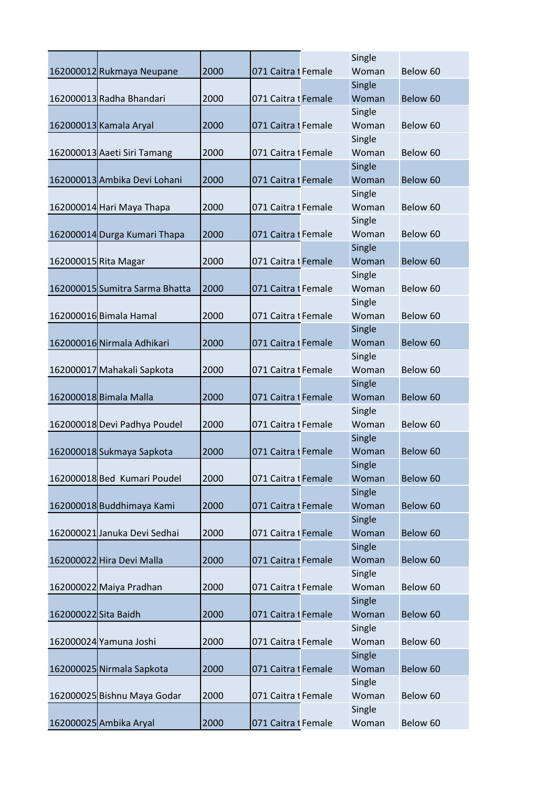|                      |                                |      |                     | Single          |          |
|----------------------|--------------------------------|------|---------------------|-----------------|----------|
|                      | 162000012 Rukmaya Neupane      | 2000 | 071 Caitra I Female | Woman           | Below 60 |
|                      |                                |      |                     | Single          |          |
|                      | 162000013 Radha Bhandari       | 2000 | 071 Caitra I Female | Woman           | Below 60 |
|                      |                                |      |                     | Single          |          |
|                      | 162000013 Kamala Aryal         | 2000 | 071 Caitra I Female | Woman           | Below 60 |
|                      |                                |      |                     | Single          |          |
|                      | 162000013 Aaeti Siri Tamang    | 2000 | 071 Caitra I Female | Woman           | Below 60 |
|                      |                                |      |                     | Single          |          |
|                      | 162000013 Ambika Devi Lohani   | 2000 | 071 Caitra I Female | Woman           | Below 60 |
|                      |                                |      |                     | Single          |          |
|                      | 162000014 Hari Maya Thapa      | 2000 | 071 Caitra I Female | Woman           | Below 60 |
|                      |                                |      |                     | Single          |          |
|                      | 162000014 Durga Kumari Thapa   | 2000 | 071 Caitra I Female | Woman           | Below 60 |
|                      |                                |      |                     | Single          |          |
|                      | 162000015 Rita Magar           | 2000 | 071 Caitra I Female | Woman           | Below 60 |
|                      |                                |      |                     | Single          |          |
|                      | 162000015 Sumitra Sarma Bhatta | 2000 | 071 Caitra I Female | Woman           | Below 60 |
|                      |                                |      |                     | Single          |          |
|                      | 162000016 Bimala Hamal         | 2000 | 071 Caitra I Female | Woman           | Below 60 |
|                      |                                |      |                     | Single          |          |
|                      | 162000016 Nirmala Adhikari     | 2000 | 071 Caitra I Female | Woman           | Below 60 |
|                      |                                |      |                     | Single          |          |
|                      | 162000017 Mahakali Sapkota     | 2000 | 071 Caitra I Female | Woman           | Below 60 |
|                      |                                |      |                     | Single          |          |
|                      | 162000018 Bimala Malla         | 2000 | 071 Caitra I Female | Woman           | Below 60 |
|                      |                                |      |                     | Single          |          |
|                      | 162000018 Devi Padhya Poudel   | 2000 | 071 Caitra I Female | Woman           | Below 60 |
|                      |                                |      |                     | Single          |          |
|                      | 162000018 Sukmaya Sapkota      | 2000 | 071 Caitra I Female | Woman           | Below 60 |
|                      |                                |      |                     | Single          |          |
|                      | 162000018 Bed Kumari Poudel    | 2000 | 071 Caitra I Female | Woman           | Below 60 |
|                      |                                |      |                     | Single          |          |
|                      | 162000018 Buddhimaya Kami      | 2000 | 071 Caitra I Female | Woman           | Below 60 |
|                      |                                |      |                     | Single          |          |
|                      | 162000021 Januka Devi Sedhai   | 2000 | 071 Caitra 1 Female | Woman           | Below 60 |
|                      |                                |      |                     |                 |          |
|                      |                                |      |                     | Single<br>Woman | Below 60 |
|                      | 162000022 Hira Devi Malla      | 2000 | 071 Caitra I Female |                 |          |
|                      |                                |      |                     | Single          |          |
|                      | 162000022 Maiya Pradhan        | 2000 | 071 Caitra I Female | Woman           | Below 60 |
|                      |                                |      |                     | Single          |          |
| 162000022 Sita Baidh |                                | 2000 | 071 Caitra I Female | Woman           | Below 60 |
|                      |                                |      |                     | Single          |          |
|                      | 162000024 Yamuna Joshi         | 2000 | 071 Caitra I Female | Woman           | Below 60 |
|                      |                                |      |                     | Single          |          |
|                      | 162000025 Nirmala Sapkota      | 2000 | 071 Caitra I Female | Woman           | Below 60 |
|                      |                                |      |                     | Single          |          |
|                      | 162000025 Bishnu Maya Godar    | 2000 | 071 Caitra I Female | Woman           | Below 60 |
|                      |                                |      |                     | Single          |          |
|                      | 162000025 Ambika Aryal         | 2000 | 071 Caitra I Female | Woman           | Below 60 |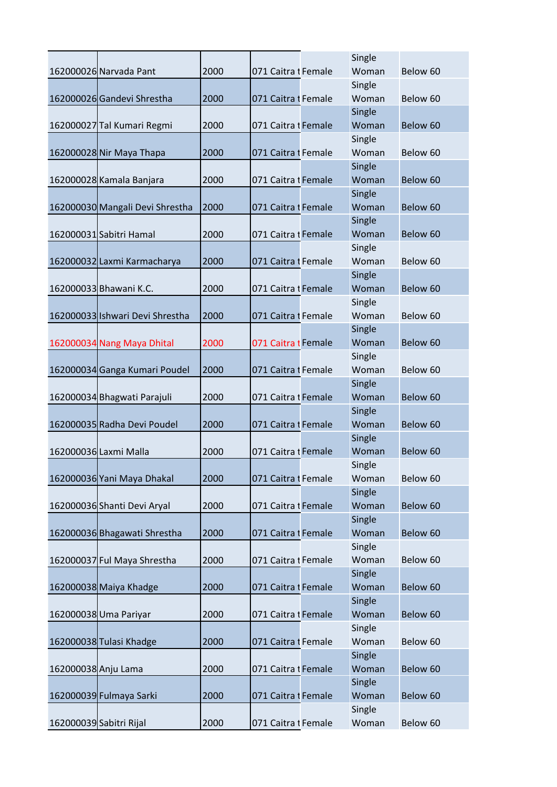|                     |                                 |      |                     | Single |          |
|---------------------|---------------------------------|------|---------------------|--------|----------|
|                     | 162000026 Narvada Pant          | 2000 | 071 Caitra I Female | Woman  | Below 60 |
|                     |                                 |      |                     | Single |          |
|                     | 162000026 Gandevi Shrestha      | 2000 | 071 Caitra I Female | Woman  | Below 60 |
|                     |                                 |      |                     | Single |          |
|                     | 162000027 Tal Kumari Regmi      | 2000 | 071 Caitra I Female | Woman  | Below 60 |
|                     |                                 |      |                     | Single |          |
|                     | 162000028 Nir Maya Thapa        | 2000 | 071 Caitra I Female | Woman  | Below 60 |
|                     |                                 |      |                     | Single |          |
|                     | 162000028 Kamala Banjara        | 2000 | 071 Caitra I Female | Woman  | Below 60 |
|                     |                                 |      |                     | Single |          |
|                     | 162000030 Mangali Devi Shrestha | 2000 | 071 Caitra I Female | Woman  | Below 60 |
|                     |                                 |      |                     | Single |          |
|                     | 162000031 Sabitri Hamal         | 2000 | 071 Caitra I Female | Woman  | Below 60 |
|                     |                                 |      |                     | Single |          |
|                     | 162000032 Laxmi Karmacharya     | 2000 | 071 Caitra I Female | Woman  | Below 60 |
|                     |                                 |      |                     | Single |          |
|                     | 162000033 Bhawani K.C.          | 2000 | 071 Caitra I Female | Woman  | Below 60 |
|                     |                                 |      |                     | Single |          |
|                     | 162000033 Ishwari Devi Shrestha | 2000 | 071 Caitra I Female | Woman  | Below 60 |
|                     |                                 |      |                     | Single |          |
|                     | 162000034 Nang Maya Dhital      | 2000 | 071 Caitra I Female | Woman  | Below 60 |
|                     |                                 |      |                     | Single |          |
|                     | 162000034 Ganga Kumari Poudel   | 2000 | 071 Caitra I Female | Woman  | Below 60 |
|                     |                                 |      |                     | Single |          |
|                     | 162000034 Bhagwati Parajuli     | 2000 | 071 Caitra I Female | Woman  | Below 60 |
|                     |                                 |      |                     | Single |          |
|                     | 162000035 Radha Devi Poudel     | 2000 | 071 Caitra I Female | Woman  | Below 60 |
|                     |                                 |      |                     | Single |          |
|                     | 162000036 Laxmi Malla           | 2000 | 071 Caitra I Female | Woman  | Below 60 |
|                     |                                 |      |                     | Single |          |
|                     | 162000036 Yani Maya Dhakal      | 2000 | 071 Caitra I Female | Woman  | Below 60 |
|                     |                                 |      |                     | Single |          |
|                     | 162000036 Shanti Devi Aryal     | 2000 | 071 Caitra t Female | Woman  | Below 60 |
|                     |                                 |      |                     | Single |          |
|                     | 162000036 Bhagawati Shrestha    | 2000 | 071 Caitra I Female | Woman  | Below 60 |
|                     |                                 |      |                     | Single |          |
|                     | 162000037 Ful Maya Shrestha     | 2000 | 071 Caitra I Female | Woman  | Below 60 |
|                     |                                 |      |                     | Single |          |
|                     | 162000038 Maiya Khadge          | 2000 | 071 Caitra I Female | Woman  | Below 60 |
|                     |                                 |      |                     | Single |          |
|                     | 162000038 Uma Pariyar           | 2000 | 071 Caitra I Female | Woman  | Below 60 |
|                     |                                 |      |                     | Single |          |
|                     | 162000038 Tulasi Khadge         | 2000 | 071 Caitra I Female | Woman  | Below 60 |
|                     |                                 |      |                     | Single |          |
| 162000038 Anju Lama |                                 | 2000 | 071 Caitra I Female | Woman  | Below 60 |
|                     |                                 |      |                     | Single |          |
|                     | 162000039 Fulmaya Sarki         | 2000 | 071 Caitra I Female | Woman  | Below 60 |
|                     |                                 |      |                     | Single |          |
|                     | 162000039 Sabitri Rijal         | 2000 | 071 Caitra I Female | Woman  | Below 60 |
|                     |                                 |      |                     |        |          |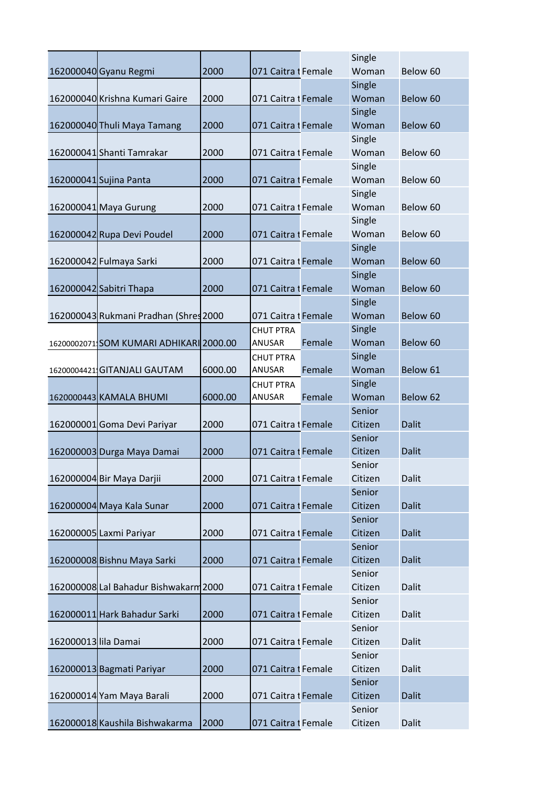|                      |                                         |         |                     |        | Single  |              |
|----------------------|-----------------------------------------|---------|---------------------|--------|---------|--------------|
|                      | 162000040 Gyanu Regmi                   | 2000    | 071 Caitra I Female |        | Woman   | Below 60     |
|                      |                                         |         |                     |        | Single  |              |
|                      | 162000040 Krishna Kumari Gaire          | 2000    | 071 Caitra I Female |        | Woman   | Below 60     |
|                      |                                         |         |                     |        | Single  |              |
|                      | 162000040 Thuli Maya Tamang             | 2000    | 071 Caitra I Female |        | Woman   | Below 60     |
|                      |                                         |         |                     |        | Single  |              |
|                      | 162000041 Shanti Tamrakar               | 2000    | 071 Caitra I Female |        | Woman   | Below 60     |
|                      |                                         |         |                     |        | Single  |              |
|                      | 162000041 Sujina Panta                  | 2000    | 071 Caitra I Female |        | Woman   | Below 60     |
|                      |                                         |         |                     |        | Single  |              |
|                      | 162000041 Maya Gurung                   | 2000    | 071 Caitra t Female |        | Woman   | Below 60     |
|                      |                                         |         |                     |        | Single  |              |
|                      | 162000042 Rupa Devi Poudel              | 2000    | 071 Caitra I Female |        | Woman   | Below 60     |
|                      |                                         |         |                     |        | Single  |              |
|                      | 162000042 Fulmaya Sarki                 | 2000    | 071 Caitra I Female |        | Woman   | Below 60     |
|                      |                                         |         |                     |        |         |              |
|                      |                                         |         |                     |        | Single  |              |
|                      | 162000042 Sabitri Thapa                 | 2000    | 071 Caitra I Female |        | Woman   | Below 60     |
|                      |                                         |         |                     |        | Single  |              |
|                      | 162000043 Rukmani Pradhan (Shres 2000   |         | 071 Caitra I Female |        | Woman   | Below 60     |
|                      |                                         |         | <b>CHUT PTRA</b>    |        | Single  |              |
|                      | 16200002071 SOM KUMARI ADHIKARI 2000.00 |         | ANUSAR              | Female | Woman   | Below 60     |
|                      |                                         |         | <b>CHUT PTRA</b>    |        | Single  |              |
|                      | 16200004421 GITANJALI GAUTAM            | 6000.00 | ANUSAR              | Female | Woman   | Below 61     |
|                      |                                         |         | <b>CHUT PTRA</b>    |        | Single  |              |
|                      | 1620000443 KAMALA BHUMI                 | 6000.00 | ANUSAR              | Female | Woman   | Below 62     |
|                      |                                         |         |                     |        | Senior  |              |
|                      | 162000001 Goma Devi Pariyar             | 2000    | 071 Caitra I Female |        | Citizen | <b>Dalit</b> |
|                      |                                         |         |                     |        | Senior  |              |
|                      | 162000003 Durga Maya Damai              | 2000    | 071 Caitra I Female |        | Citizen | <b>Dalit</b> |
|                      |                                         |         |                     |        | Senior  |              |
|                      | 162000004 Bir Maya Darjii               | 2000    | 071 Caitra I Female |        | Citizen | Dalit        |
|                      |                                         |         |                     |        | Senior  |              |
|                      | 162000004 Maya Kala Sunar               | 2000    | 071 Caitra I Female |        | Citizen | <b>Dalit</b> |
|                      |                                         |         |                     |        | Senior  |              |
|                      | 162000005 Laxmi Pariyar                 | 2000    | 071 Caitra I Female |        | Citizen | <b>Dalit</b> |
|                      |                                         |         |                     |        | Senior  |              |
|                      | 162000008 Bishnu Maya Sarki             | 2000    | 071 Caitra I Female |        | Citizen | <b>Dalit</b> |
|                      |                                         |         |                     |        | Senior  |              |
|                      | 162000008 Lal Bahadur Bishwakarm 2000   |         | 071 Caitra I Female |        | Citizen | Dalit        |
|                      |                                         |         |                     |        | Senior  |              |
|                      | 162000011 Hark Bahadur Sarki            | 2000    | 071 Caitra I Female |        | Citizen | Dalit        |
|                      |                                         |         |                     |        | Senior  |              |
| 162000013 lila Damai |                                         | 2000    | 071 Caitra I Female |        | Citizen | Dalit        |
|                      |                                         |         |                     |        | Senior  |              |
|                      | 162000013 Bagmati Pariyar               | 2000    | 071 Caitra I Female |        | Citizen | Dalit        |
|                      |                                         |         |                     |        | Senior  |              |
|                      | 162000014 Yam Maya Barali               | 2000    | 071 Caitra I Female |        | Citizen | <b>Dalit</b> |
|                      |                                         |         |                     |        | Senior  |              |
|                      | 162000018 Kaushila Bishwakarma          | 2000    | 071 Caitra I Female |        | Citizen | Dalit        |
|                      |                                         |         |                     |        |         |              |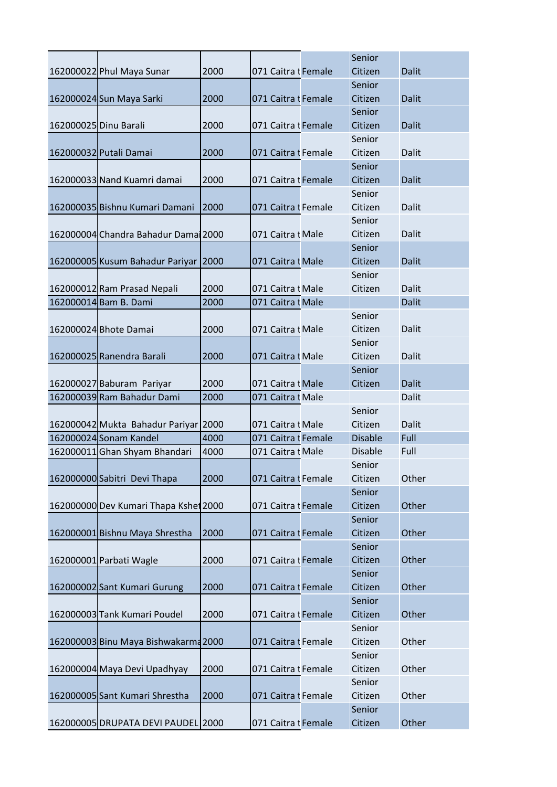|                       |                                       |      |                     | Senior            |              |
|-----------------------|---------------------------------------|------|---------------------|-------------------|--------------|
|                       | 162000022 Phul Maya Sunar             | 2000 | 071 Caitra I Female | Citizen           | <b>Dalit</b> |
|                       |                                       |      |                     | Senior            |              |
|                       | 162000024 Sun Maya Sarki              | 2000 | 071 Caitra I Female | Citizen           | <b>Dalit</b> |
|                       |                                       |      |                     | Senior            |              |
| 162000025 Dinu Barali |                                       | 2000 | 071 Caitra I Female | Citizen           | <b>Dalit</b> |
|                       |                                       |      |                     | Senior            |              |
|                       | 162000032 Putali Damai                | 2000 | 071 Caitra I Female | Citizen           | Dalit        |
|                       |                                       |      |                     | Senior            |              |
|                       | 162000033 Nand Kuamri damai           | 2000 | 071 Caitra I Female | Citizen           | <b>Dalit</b> |
|                       |                                       |      |                     | Senior            |              |
|                       | 162000035 Bishnu Kumari Damani        | 2000 | 071 Caitra I Female | Citizen           | Dalit        |
|                       |                                       |      |                     | Senior            |              |
|                       | 162000004 Chandra Bahadur Dama 2000   |      | 071 Caitra I Male   | Citizen           | <b>Dalit</b> |
|                       |                                       |      |                     | Senior            |              |
|                       | 162000005 Kusum Bahadur Pariyar       | 2000 | 071 Caitra I Male   | Citizen           | <b>Dalit</b> |
|                       |                                       |      |                     | Senior            |              |
|                       | 162000012 Ram Prasad Nepali           | 2000 | 071 Caitra I Male   | Citizen           | <b>Dalit</b> |
|                       | 162000014 Bam B. Dami                 | 2000 | 071 Caitra t Male   |                   | <b>Dalit</b> |
|                       |                                       |      |                     | Senior            |              |
|                       | 162000024 Bhote Damai                 | 2000 | 071 Caitra I Male   | Citizen           | Dalit        |
|                       |                                       |      |                     | Senior            |              |
|                       | 162000025 Ranendra Barali             | 2000 | 071 Caitra I Male   | Citizen           | <b>Dalit</b> |
|                       |                                       |      |                     | Senior            |              |
|                       | 162000027 Baburam Pariyar             | 2000 | 071 Caitra I Male   | Citizen           | <b>Dalit</b> |
|                       | 162000039 Ram Bahadur Dami            | 2000 | 071 Caitra I Male   |                   | Dalit        |
|                       |                                       |      |                     |                   |              |
|                       |                                       |      |                     |                   |              |
|                       |                                       |      |                     | Senior            |              |
|                       | 162000042 Mukta Bahadur Pariyar       | 2000 | 071 Caitra I Male   | Citizen           | Dalit        |
|                       | 162000024 Sonam Kandel                | 4000 | 071 Caitra I Female | <b>Disable</b>    | Full         |
|                       | 162000011 Ghan Shyam Bhandari         | 4000 | 071 Caitra t Male   | <b>Disable</b>    | Full         |
|                       |                                       |      |                     | Senior            |              |
|                       | 162000000 Sabitri Devi Thapa          | 2000 | 071 Caitra I Female | Citizen           | Other        |
|                       |                                       |      |                     | Senior            |              |
|                       | 162000000 Dev Kumari Thapa Kshet 2000 |      | 071 Caitra I Female | Citizen           | Other        |
|                       |                                       |      |                     | Senior            |              |
|                       | 162000001 Bishnu Maya Shrestha        | 2000 | 071 Caitra I Female | Citizen           | Other        |
|                       |                                       |      |                     | Senior            |              |
|                       | 162000001 Parbati Wagle               | 2000 | 071 Caitra I Female | Citizen           | Other        |
|                       |                                       |      |                     | Senior            |              |
|                       | 162000002 Sant Kumari Gurung          | 2000 | 071 Caitra I Female | Citizen           | Other        |
|                       |                                       |      |                     | Senior            |              |
|                       | 162000003 Tank Kumari Poudel          | 2000 | 071 Caitra I Female | Citizen           | Other        |
|                       |                                       |      |                     | Senior            |              |
|                       | 162000003 Binu Maya Bishwakarm4 2000  |      | 071 Caitra I Female | Citizen           | Other        |
|                       |                                       |      |                     | Senior            |              |
|                       | 162000004 Maya Devi Upadhyay          | 2000 | 071 Caitra I Female | Citizen           | Other        |
|                       |                                       |      |                     | Senior            |              |
|                       | 162000005 Sant Kumari Shrestha        | 2000 | 071 Caitra I Female | Citizen           | Other        |
|                       | 162000005 DRUPATA DEVI PAUDEL 2000    |      | 071 Caitra I Female | Senior<br>Citizen | Other        |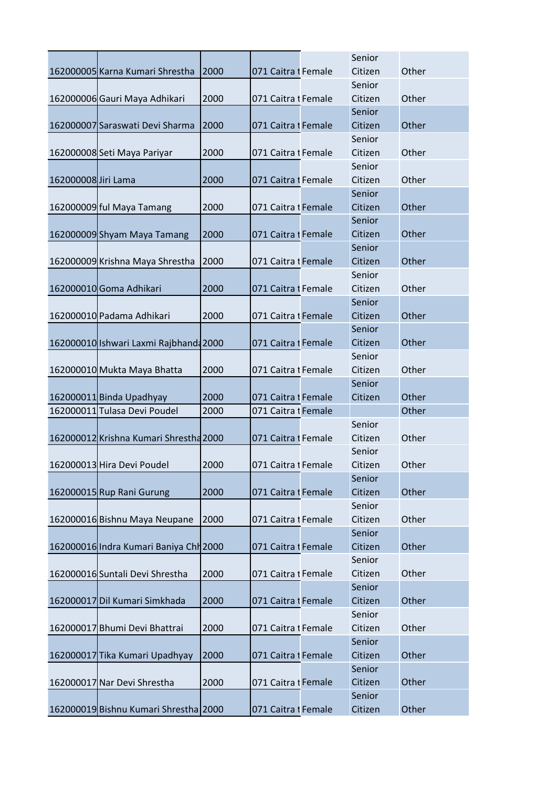|                     |                                        |      |                     | Senior  |       |
|---------------------|----------------------------------------|------|---------------------|---------|-------|
|                     | 162000005 Karna Kumari Shrestha        | 2000 | 071 Caitra I Female | Citizen | Other |
|                     |                                        |      |                     | Senior  |       |
|                     | 162000006 Gauri Maya Adhikari          | 2000 | 071 Caitra I Female | Citizen | Other |
|                     |                                        |      |                     | Senior  |       |
|                     | 162000007 Saraswati Devi Sharma        | 2000 | 071 Caitra I Female | Citizen | Other |
|                     |                                        |      |                     | Senior  |       |
|                     | 162000008 Seti Maya Pariyar            | 2000 | 071 Caitra I Female | Citizen | Other |
|                     |                                        |      |                     | Senior  |       |
| 162000008 Jiri Lama |                                        | 2000 | 071 Caitra I Female | Citizen | Other |
|                     |                                        |      |                     | Senior  |       |
|                     | 162000009 ful Maya Tamang              | 2000 | 071 Caitra I Female | Citizen | Other |
|                     |                                        |      |                     | Senior  |       |
|                     | 162000009 Shyam Maya Tamang            | 2000 | 071 Caitra I Female | Citizen | Other |
|                     |                                        |      |                     | Senior  |       |
|                     | 162000009 Krishna Maya Shrestha        | 2000 | 071 Caitra t Female | Citizen | Other |
|                     |                                        |      |                     | Senior  |       |
|                     | 162000010 Goma Adhikari                | 2000 | 071 Caitra I Female | Citizen | Other |
|                     |                                        |      |                     | Senior  |       |
|                     | 162000010 Padama Adhikari              | 2000 | 071 Caitra I Female | Citizen | Other |
|                     |                                        |      |                     | Senior  |       |
|                     | 162000010 Ishwari Laxmi Rajbhand 2000  |      | 071 Caitra I Female | Citizen | Other |
|                     |                                        |      |                     | Senior  |       |
|                     | 162000010 Mukta Maya Bhatta            | 2000 | 071 Caitra I Female | Citizen | Other |
|                     |                                        |      |                     | Senior  |       |
|                     | 162000011 Binda Upadhyay               | 2000 | 071 Caitra I Female | Citizen | Other |
|                     | 162000011 Tulasa Devi Poudel           | 2000 | 071 Caitra I Female |         | Other |
|                     |                                        |      |                     | Senior  |       |
|                     | 162000012 Krishna Kumari Shrestha 2000 |      | 071 Caitra I Female | Citizen | Other |
|                     |                                        |      |                     | Senior  |       |
|                     | 162000013 Hira Devi Poudel             | 2000 | 071 Caitra I Female | Citizen | Other |
|                     |                                        |      |                     | Senior  |       |
|                     | 162000015 Rup Rani Gurung              | 2000 | 071 Caitra I Female | Citizen | Other |
|                     |                                        |      |                     | Senior  |       |
|                     | 162000016 Bishnu Maya Neupane          | 2000 | 071 Caitra I Female | Citizen | Other |
|                     |                                        |      |                     | Senior  |       |
|                     | 162000016 Indra Kumari Baniya Chr 2000 |      | 071 Caitra I Female | Citizen | Other |
|                     |                                        |      |                     | Senior  |       |
|                     | 162000016 Suntali Devi Shrestha        | 2000 | 071 Caitra I Female | Citizen | Other |
|                     |                                        |      |                     | Senior  |       |
|                     | 162000017 Dil Kumari Simkhada          | 2000 | 071 Caitra I Female | Citizen | Other |
|                     |                                        |      |                     | Senior  |       |
|                     | 162000017 Bhumi Devi Bhattrai          | 2000 | 071 Caitra I Female | Citizen | Other |
|                     |                                        |      |                     | Senior  |       |
|                     | 162000017 Tika Kumari Upadhyay         | 2000 | 071 Caitra I Female | Citizen | Other |
|                     |                                        |      |                     | Senior  |       |
|                     | 162000017 Nar Devi Shrestha            | 2000 | 071 Caitra I Female | Citizen | Other |
|                     |                                        |      |                     | Senior  |       |
|                     | 162000019 Bishnu Kumari Shrestha 2000  |      | 071 Caitra t Female | Citizen | Other |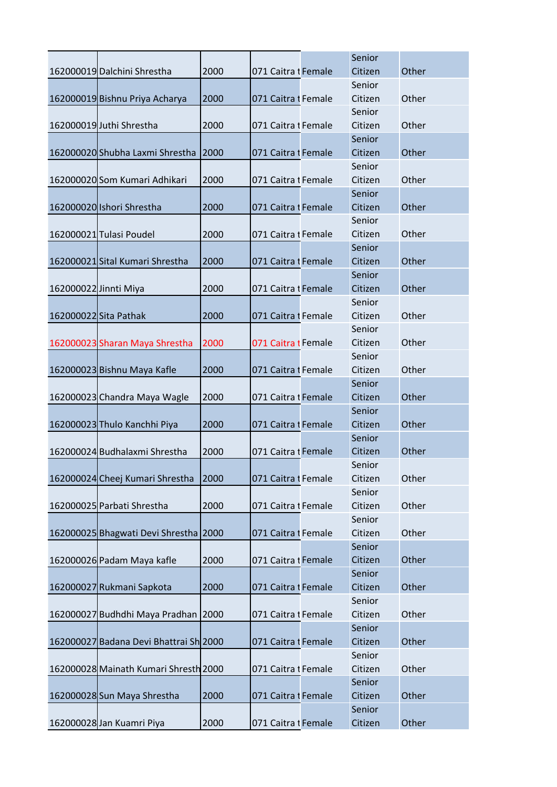| 162000019 Dalchini Shrestha<br>2000<br>Citizen<br>Other<br>071 Caitra I Female     |  |
|------------------------------------------------------------------------------------|--|
| Senior                                                                             |  |
| 162000019 Bishnu Priya Acharya<br>Citizen<br>Other<br>2000<br>071 Caitra I Female  |  |
| Senior                                                                             |  |
| 162000019 Juthi Shrestha<br>2000<br>071 Caitra I Female<br>Citizen<br>Other        |  |
| Senior                                                                             |  |
| Other<br>2000<br>071 Caitra I Female<br>Citizen<br>162000020 Shubha Laxmi Shrestha |  |
| Senior                                                                             |  |
| 162000020 Som Kumari Adhikari<br>2000<br>071 Caitra I Female<br>Citizen<br>Other   |  |
| Senior                                                                             |  |
| 162000020 Ishori Shrestha<br>071 Caitra I Female<br>Citizen<br>Other<br>2000       |  |
| Senior                                                                             |  |
| 162000021 Tulasi Poudel<br>2000<br>071 Caitra I Female<br>Citizen<br>Other         |  |
| Senior                                                                             |  |
| 162000021 Sital Kumari Shrestha<br>071 Caitra I Female<br>Citizen<br>Other<br>2000 |  |
| Senior                                                                             |  |
| Other<br>162000022 Jinnti Miya<br>2000<br>071 Caitra I Female<br>Citizen           |  |
| Senior                                                                             |  |
| 162000022 Sita Pathak<br>2000<br>071 Caitra I Female<br>Citizen<br>Other           |  |
| Senior                                                                             |  |
| Other<br>162000023 Sharan Maya Shrestha<br>2000<br>071 Caitra I Female<br>Citizen  |  |
| Senior                                                                             |  |
| 162000023 Bishnu Maya Kafle<br>2000<br>071 Caitra I Female<br>Citizen<br>Other     |  |
| Senior                                                                             |  |
| 2000<br>071 Caitra I Female<br>Other<br>162000023 Chandra Maya Wagle<br>Citizen    |  |
| Senior                                                                             |  |
| 162000023 Thulo Kanchhi Piya<br>2000<br>071 Caitra I Female<br>Citizen<br>Other    |  |
| Senior                                                                             |  |
| 162000024 Budhalaxmi Shrestha<br>071 Caitra I Female<br>Citizen<br>Other<br>2000   |  |
| Senior                                                                             |  |
| 162000024 Cheej Kumari Shrestha<br>2000<br>071 Caitra I Female<br>Citizen<br>Other |  |
| Senior                                                                             |  |
| Other<br>162000025 Parbati Shrestha<br>2000<br>071 Caitra I Female<br>Citizen      |  |
| Senior                                                                             |  |
| 162000025 Bhagwati Devi Shrestha 2000<br>Citizen<br>071 Caitra I Female<br>Other   |  |
| Senior                                                                             |  |
| Citizen<br>Other<br>162000026 Padam Maya kafle<br>2000<br>071 Caitra t Female      |  |
| Senior                                                                             |  |
| 162000027 Rukmani Sapkota<br>2000<br>071 Caitra I Female<br>Citizen<br>Other       |  |
| Senior                                                                             |  |
| Citizen<br>Other<br>162000027 Budhdhi Maya Pradhan<br>071 Caitra I Female<br>2000  |  |
| Senior                                                                             |  |
| 162000027 Badana Devi Bhattrai Sh 2000<br>071 Caitra I Female<br>Citizen<br>Other  |  |
| Senior                                                                             |  |
| Other<br>162000028 Mainath Kumari Shresth 2000<br>071 Caitra I Female<br>Citizen   |  |
| Senior                                                                             |  |
| 162000028 Sun Maya Shrestha<br>2000<br>Other<br>071 Caitra I Female<br>Citizen     |  |
| Senior                                                                             |  |
|                                                                                    |  |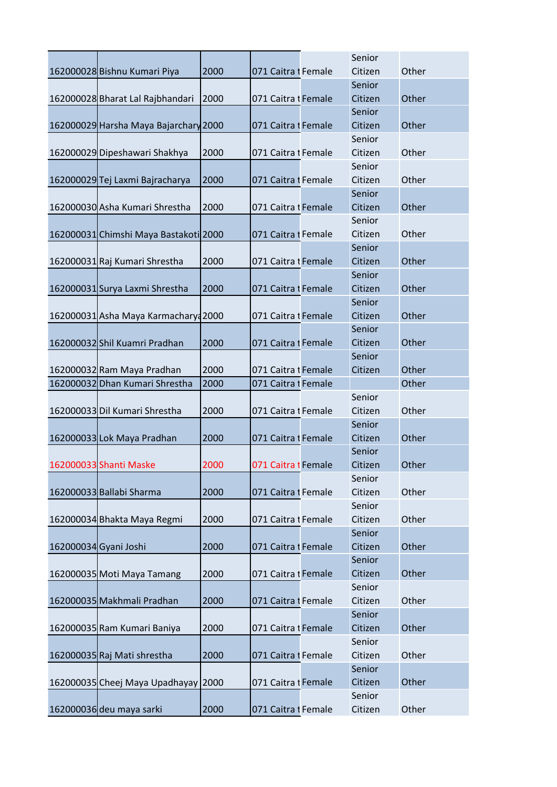|                                       |      |                     | Senior            |       |
|---------------------------------------|------|---------------------|-------------------|-------|
| 162000028 Bishnu Kumari Piya          | 2000 | 071 Caitra I Female | Citizen           | Other |
|                                       |      |                     | Senior            |       |
| 162000028 Bharat Lal Rajbhandari      | 2000 | 071 Caitra 1 Female | Citizen           | Other |
|                                       |      |                     | Senior            |       |
| 162000029 Harsha Maya Bajarchary 2000 |      | 071 Caitra I Female | Citizen           | Other |
|                                       |      |                     | Senior            |       |
| 162000029 Dipeshawari Shakhya         | 2000 | 071 Caitra I Female | Citizen           | Other |
|                                       |      |                     | Senior            |       |
| 162000029 Tej Laxmi Bajracharya       | 2000 | 071 Caitra I Female | Citizen           | Other |
|                                       |      |                     | Senior            |       |
| 162000030 Asha Kumari Shrestha        | 2000 | 071 Caitra I Female | Citizen           | Other |
|                                       |      |                     | Senior            |       |
| 162000031 Chimshi Maya Bastakoti 2000 |      | 071 Caitra I Female | Citizen           | Other |
|                                       |      |                     | Senior            |       |
| 162000031 Raj Kumari Shrestha         | 2000 | 071 Caitra I Female | Citizen           | Other |
|                                       |      |                     | Senior            |       |
| 162000031 Surya Laxmi Shrestha        | 2000 | 071 Caitra I Female | Citizen           | Other |
|                                       |      |                     | Senior            |       |
| 162000031 Asha Maya Karmacharya 2000  |      | 071 Caitra I Female | Citizen           | Other |
|                                       |      |                     | Senior            |       |
| 162000032 Shil Kuamri Pradhan         | 2000 | 071 Caitra I Female | Citizen           | Other |
|                                       |      |                     | Senior            |       |
| 162000032 Ram Maya Pradhan            | 2000 | 071 Caitra I Female | Citizen           | Other |
| 162000032 Dhan Kumari Shrestha        | 2000 | 071 Caitra I Female |                   | Other |
|                                       | 2000 | 071 Caitra I Female | Senior<br>Citizen | Other |
| 162000033 Dil Kumari Shrestha         |      |                     | Senior            |       |
| 162000033 Lok Maya Pradhan            | 2000 | 071 Caitra I Female | Citizen           | Other |
|                                       |      |                     | Senior            |       |
| 162000033 Shanti Maske                | 2000 | 071 Caitra I Female | Citizen           | Other |
|                                       |      |                     | Senior            |       |
| 162000033 Ballabi Sharma              | 2000 | 071 Caitra I Female | Citizen           | Other |
|                                       |      |                     | Senior            |       |
| 162000034 Bhakta Maya Regmi           | 2000 | 071 Caitra I Female | Citizen           | Other |
|                                       |      |                     | Senior            |       |
| 162000034 Gyani Joshi                 | 2000 | 071 Caitra I Female | Citizen           | Other |
|                                       |      |                     | Senior            |       |
| 162000035 Moti Maya Tamang            | 2000 | 071 Caitra I Female | Citizen           | Other |
|                                       |      |                     | Senior            |       |
| 162000035 Makhmali Pradhan            | 2000 | 071 Caitra I Female | Citizen           | Other |
|                                       |      |                     | Senior            |       |
| 162000035 Ram Kumari Baniya           | 2000 | 071 Caitra I Female | Citizen           | Other |
|                                       |      |                     | Senior            |       |
| 162000035 Raj Mati shrestha           | 2000 | 071 Caitra I Female | Citizen           | Other |
|                                       |      |                     | Senior            |       |
| 162000035 Cheej Maya Upadhayay 2000   |      | 071 Caitra I Female | Citizen           | Other |
|                                       |      |                     | Senior            |       |
| 162000036 deu maya sarki              | 2000 | 071 Caitra I Female | Citizen           | Other |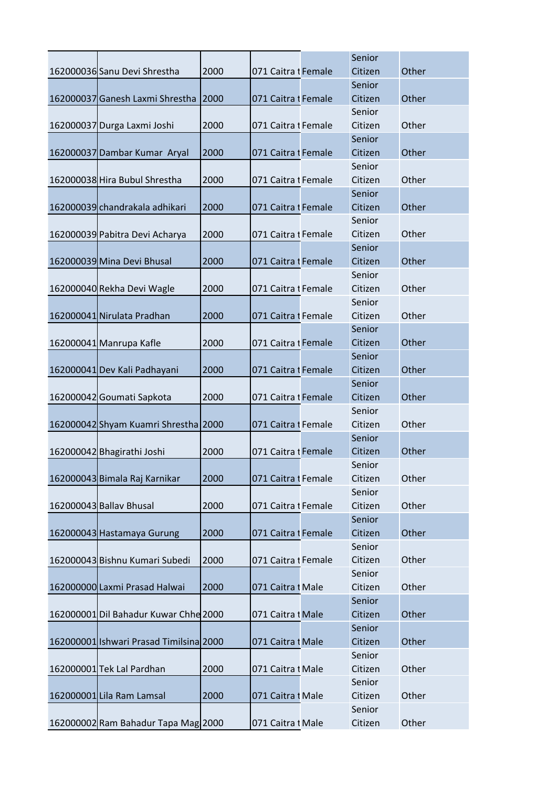|                                         |      |                     | Senior  |       |
|-----------------------------------------|------|---------------------|---------|-------|
| 162000036 Sanu Devi Shrestha            | 2000 | 071 Caitra I Female | Citizen | Other |
|                                         |      |                     | Senior  |       |
| 162000037 Ganesh Laxmi Shrestha         | 2000 | 071 Caitra I Female | Citizen | Other |
|                                         |      |                     | Senior  |       |
| 162000037 Durga Laxmi Joshi             | 2000 | 071 Caitra I Female | Citizen | Other |
|                                         |      |                     | Senior  |       |
| 162000037 Dambar Kumar Aryal            | 2000 | 071 Caitra 1 Female | Citizen | Other |
|                                         |      |                     | Senior  |       |
| 162000038 Hira Bubul Shrestha           | 2000 | 071 Caitra I Female | Citizen | Other |
|                                         |      |                     | Senior  |       |
| 162000039 chandrakala adhikari          | 2000 | 071 Caitra I Female | Citizen | Other |
|                                         |      |                     | Senior  |       |
| 162000039 Pabitra Devi Acharya          | 2000 | 071 Caitra I Female | Citizen | Other |
|                                         |      |                     | Senior  |       |
| 162000039 Mina Devi Bhusal              | 2000 | 071 Caitra I Female | Citizen | Other |
|                                         |      |                     | Senior  |       |
| 162000040 Rekha Devi Wagle              | 2000 | 071 Caitra I Female | Citizen | Other |
|                                         |      |                     | Senior  |       |
| 162000041 Nirulata Pradhan              | 2000 | 071 Caitra I Female | Citizen | Other |
|                                         |      |                     | Senior  |       |
| 162000041 Manrupa Kafle                 | 2000 | 071 Caitra I Female | Citizen | Other |
|                                         |      |                     | Senior  |       |
| 162000041 Dev Kali Padhayani            | 2000 | 071 Caitra I Female | Citizen | Other |
|                                         |      |                     | Senior  |       |
| 162000042 Goumati Sapkota               | 2000 | 071 Caitra I Female | Citizen | Other |
|                                         |      |                     | Senior  |       |
| 162000042 Shyam Kuamri Shrestha 2000    |      | 071 Caitra I Female | Citizen | Other |
|                                         |      |                     | Senior  |       |
| 162000042 Bhagirathi Joshi              | 2000 | 071 Caitra 1 Female | Citizen | Other |
|                                         |      |                     | Senior  |       |
| 162000043 Bimala Raj Karnikar           | 2000 | 071 Caitra I Female | Citizen | Other |
|                                         |      |                     | Senior  |       |
| 162000043 Ballav Bhusal                 | 2000 | 071 Caitra I Female | Citizen | Other |
|                                         |      |                     | Senior  |       |
| 162000043 Hastamaya Gurung              | 2000 | 071 Caitra I Female | Citizen | Other |
|                                         |      |                     | Senior  |       |
| 162000043 Bishnu Kumari Subedi          | 2000 | 071 Caitra I Female | Citizen | Other |
|                                         |      |                     | Senior  |       |
| 162000000 Laxmi Prasad Halwai           | 2000 | 071 Caitra t Male   | Citizen | Other |
|                                         |      |                     | Senior  |       |
| 162000001 Dil Bahadur Kuwar Chhe 2000   |      | 071 Caitra t Male   | Citizen | Other |
|                                         |      |                     | Senior  |       |
| 162000001 Ishwari Prasad Timilsina 2000 |      | 071 Caitra I Male   | Citizen | Other |
|                                         |      |                     | Senior  |       |
|                                         |      |                     | Citizen | Other |
| 162000001 Tek Lal Pardhan               | 2000 | 071 Caitra t Male   |         |       |
|                                         |      |                     | Senior  |       |
| 162000001 Lila Ram Lamsal               | 2000 | 071 Caitra I Male   | Citizen | Other |
|                                         |      |                     | Senior  |       |
| 162000002 Ram Bahadur Tapa Mag 2000     |      | 071 Caitra t Male   | Citizen | Other |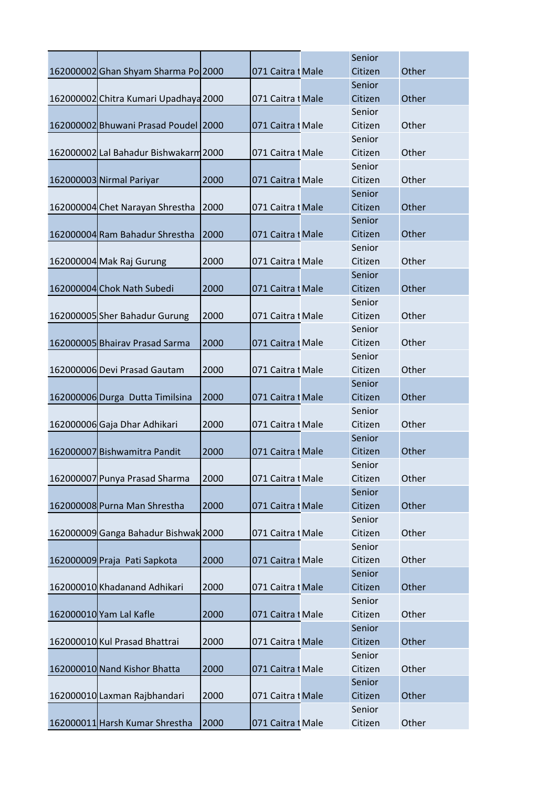|                                       |      |                   | Senior  |       |
|---------------------------------------|------|-------------------|---------|-------|
| 162000002 Ghan Shyam Sharma Po 2000   |      | 071 Caitra I Male | Citizen | Other |
|                                       |      |                   | Senior  |       |
| 162000002 Chitra Kumari Upadhaya 2000 |      | 071 Caitra t Male | Citizen | Other |
|                                       |      |                   | Senior  |       |
| 162000002 Bhuwani Prasad Poudel 2000  |      | 071 Caitra I Male | Citizen | Other |
|                                       |      |                   | Senior  |       |
| 162000002 Lal Bahadur Bishwakarm 2000 |      | 071 Caitra I Male | Citizen | Other |
|                                       |      |                   | Senior  |       |
| 162000003 Nirmal Pariyar              | 2000 | 071 Caitra I Male | Citizen | Other |
|                                       |      |                   | Senior  |       |
| 162000004 Chet Narayan Shrestha       | 2000 | 071 Caitra I Male | Citizen | Other |
|                                       |      |                   | Senior  |       |
| 162000004 Ram Bahadur Shrestha        | 2000 | 071 Caitra t Male | Citizen | Other |
|                                       |      |                   | Senior  |       |
| 162000004 Mak Raj Gurung              | 2000 | 071 Caitra t Male | Citizen | Other |
|                                       |      |                   | Senior  |       |
| 162000004 Chok Nath Subedi            | 2000 | 071 Caitra t Male | Citizen | Other |
|                                       |      |                   | Senior  |       |
| 162000005 Sher Bahadur Gurung         | 2000 | 071 Caitra t Male | Citizen | Other |
|                                       |      |                   | Senior  |       |
| 162000005 Bhairav Prasad Sarma        | 2000 | 071 Caitra I Male | Citizen | Other |
|                                       |      |                   | Senior  |       |
| 162000006 Devi Prasad Gautam          | 2000 | 071 Caitra t Male | Citizen | Other |
|                                       |      |                   | Senior  |       |
| 162000006 Durga Dutta Timilsina       | 2000 | 071 Caitra t Male | Citizen | Other |
|                                       |      |                   | Senior  |       |
| 162000006 Gaja Dhar Adhikari          | 2000 | 071 Caitra t Male | Citizen | Other |
|                                       |      |                   | Senior  |       |
| 162000007 Bishwamitra Pandit          | 2000 | 071 Caitra I Male | Citizen | Other |
|                                       |      |                   | Senior  |       |
| 162000007 Punya Prasad Sharma         | 2000 | 071 Caitra t Male | Citizen | Other |
|                                       |      |                   | Senior  |       |
| 162000008 Purna Man Shrestha          | 2000 | 071 Caitra t Male | Citizen | Other |
|                                       |      |                   | Senior  |       |
| 162000009 Ganga Bahadur Bishwak 2000  |      | 071 Caitra t Male | Citizen | Other |
|                                       |      |                   | Senior  |       |
| 162000009 Praja Pati Sapkota          | 2000 | 071 Caitra t Male | Citizen | Other |
|                                       |      |                   | Senior  |       |
| 162000010 Khadanand Adhikari          | 2000 | 071 Caitra I Male | Citizen | Other |
|                                       |      |                   | Senior  |       |
| 162000010 Yam Lal Kafle               | 2000 | 071 Caitra t Male | Citizen | Other |
|                                       |      |                   | Senior  |       |
| 162000010 Kul Prasad Bhattrai         | 2000 | 071 Caitra I Male | Citizen | Other |
|                                       |      |                   | Senior  |       |
| 162000010 Nand Kishor Bhatta          | 2000 | 071 Caitra t Male | Citizen | Other |
|                                       |      |                   | Senior  |       |
| 162000010 Laxman Rajbhandari          | 2000 | 071 Caitra t Male | Citizen | Other |
|                                       |      |                   | Senior  |       |
| 162000011 Harsh Kumar Shrestha        | 2000 | 071 Caitra I Male | Citizen | Other |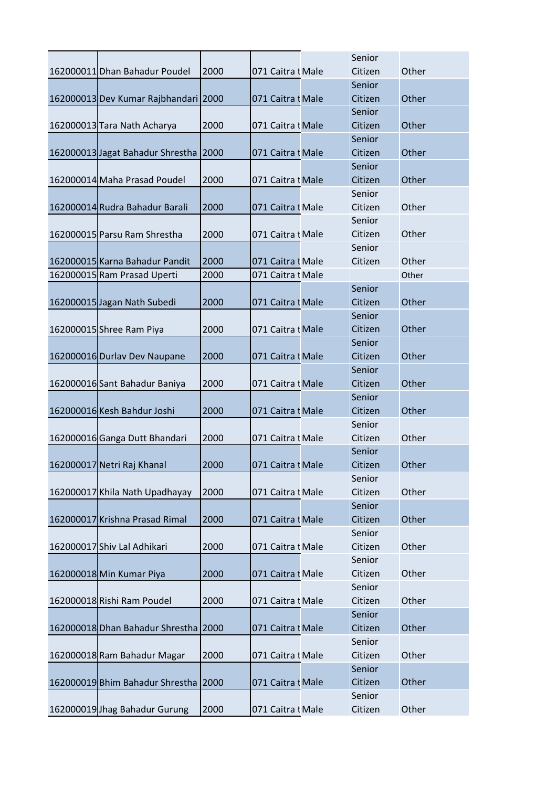|                                      |      |                   | Senior  |       |
|--------------------------------------|------|-------------------|---------|-------|
| 162000011 Dhan Bahadur Poudel        | 2000 | 071 Caitra I Male | Citizen | Other |
|                                      |      |                   | Senior  |       |
| 162000013 Dev Kumar Rajbhandari 2000 |      | 071 Caitra I Male | Citizen | Other |
|                                      |      |                   | Senior  |       |
| 162000013 Tara Nath Acharya          | 2000 | 071 Caitra t Male | Citizen | Other |
|                                      |      |                   | Senior  |       |
| 162000013 Jagat Bahadur Shrestha     | 2000 | 071 Caitra t Male | Citizen | Other |
|                                      |      |                   | Senior  |       |
| 162000014 Maha Prasad Poudel         | 2000 | 071 Caitra t Male | Citizen | Other |
|                                      |      |                   | Senior  |       |
| 162000014 Rudra Bahadur Barali       | 2000 | 071 Caitra t Male | Citizen | Other |
|                                      |      |                   | Senior  |       |
| 162000015 Parsu Ram Shrestha         | 2000 | 071 Caitra t Male | Citizen | Other |
|                                      |      |                   | Senior  |       |
| 162000015 Karna Bahadur Pandit       | 2000 | 071 Caitra t Male | Citizen | Other |
| 162000015 Ram Prasad Uperti          | 2000 | 071 Caitra I Male |         | Other |
|                                      |      |                   | Senior  |       |
| 162000015 Jagan Nath Subedi          | 2000 | 071 Caitra t Male | Citizen | Other |
|                                      |      |                   | Senior  |       |
| 162000015 Shree Ram Piya             | 2000 | 071 Caitra I Male | Citizen | Other |
|                                      |      |                   | Senior  |       |
| 162000016 Durlav Dev Naupane         | 2000 | 071 Caitra t Male | Citizen | Other |
|                                      |      |                   | Senior  |       |
| 162000016 Sant Bahadur Baniya        | 2000 | 071 Caitra I Male | Citizen | Other |
|                                      |      |                   | Senior  |       |
| 162000016 Kesh Bahdur Joshi          | 2000 | 071 Caitra t Male | Citizen | Other |
|                                      |      |                   | Senior  |       |
| 162000016 Ganga Dutt Bhandari        | 2000 | 071 Caitra I Male | Citizen | Other |
|                                      |      |                   | Senior  |       |
| 162000017 Netri Raj Khanal           | 2000 | 071 Caitra I Male | Citizen | Other |
|                                      |      |                   | Senior  |       |
| 162000017 Khila Nath Upadhayay       | 2000 | 071 Caitra I Male | Citizen | Other |
|                                      |      |                   | Senior  |       |
| 162000017 Krishna Prasad Rimal       | 2000 | 071 Caitra I Male | Citizen | Other |
|                                      |      |                   | Senior  |       |
| 162000017 Shiv Lal Adhikari          | 2000 | 071 Caitra I Male | Citizen | Other |
|                                      |      |                   | Senior  |       |
| 162000018 Min Kumar Piya             | 2000 | 071 Caitra t Male | Citizen | Other |
|                                      |      |                   | Senior  |       |
| 162000018 Rishi Ram Poudel           | 2000 | 071 Caitra I Male | Citizen | Other |
|                                      |      |                   | Senior  |       |
| 162000018 Dhan Bahadur Shrestha      | 2000 | 071 Caitra I Male | Citizen | Other |
|                                      |      |                   | Senior  |       |
| 162000018 Ram Bahadur Magar          | 2000 | 071 Caitra I Male | Citizen | Other |
|                                      |      |                   | Senior  |       |
| 162000019 Bhim Bahadur Shrestha 2000 |      | 071 Caitra I Male | Citizen | Other |
|                                      |      |                   | Senior  |       |
| 162000019 Jhag Bahadur Gurung        | 2000 | 071 Caitra I Male | Citizen | Other |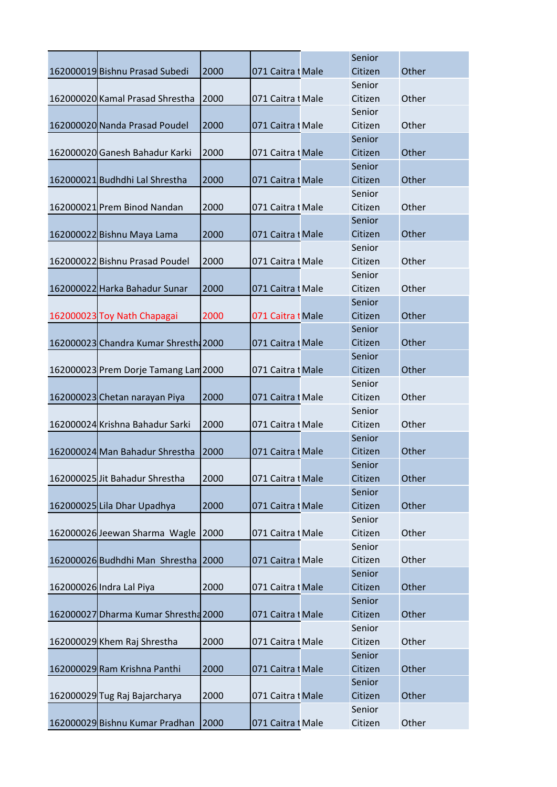|                                      |      |                   | Senior  |       |
|--------------------------------------|------|-------------------|---------|-------|
| 162000019 Bishnu Prasad Subedi       | 2000 | 071 Caitra I Male | Citizen | Other |
|                                      |      |                   | Senior  |       |
| 162000020 Kamal Prasad Shrestha      | 2000 | 071 Caitra t Male | Citizen | Other |
|                                      |      |                   | Senior  |       |
| 162000020 Nanda Prasad Poudel        | 2000 | 071 Caitra I Male | Citizen | Other |
|                                      |      |                   | Senior  |       |
| 162000020 Ganesh Bahadur Karki       | 2000 | 071 Caitra t Male | Citizen | Other |
|                                      |      |                   | Senior  |       |
| 162000021 Budhdhi Lal Shrestha       | 2000 | 071 Caitra I Male | Citizen | Other |
|                                      |      |                   | Senior  |       |
| 162000021 Prem Binod Nandan          | 2000 | 071 Caitra I Male | Citizen | Other |
|                                      |      |                   | Senior  |       |
| 162000022 Bishnu Maya Lama           | 2000 | 071 Caitra I Male | Citizen | Other |
|                                      |      |                   | Senior  |       |
| 162000022 Bishnu Prasad Poudel       | 2000 | 071 Caitra 1 Male | Citizen | Other |
|                                      |      |                   | Senior  |       |
| 162000022 Harka Bahadur Sunar        | 2000 | 071 Caitra I Male | Citizen | Other |
|                                      |      |                   | Senior  |       |
| 162000023 Toy Nath Chapagai          | 2000 | 071 Caitra I Male | Citizen | Other |
|                                      |      |                   | Senior  |       |
| 162000023 Chandra Kumar Shresth 2000 |      | 071 Caitra I Male | Citizen | Other |
|                                      |      |                   | Senior  |       |
| 162000023 Prem Dorje Tamang Lam 2000 |      | 071 Caitra I Male | Citizen | Other |
|                                      |      |                   | Senior  |       |
| 162000023 Chetan narayan Piya        | 2000 | 071 Caitra I Male | Citizen | Other |
|                                      |      |                   | Senior  |       |
| 162000024 Krishna Bahadur Sarki      | 2000 | 071 Caitra I Male | Citizen | Other |
|                                      |      |                   | Senior  |       |
| 162000024 Man Bahadur Shrestha       | 2000 | 071 Caitra 1 Male | Citizen | Other |
|                                      |      |                   | Senior  |       |
| 162000025 Jit Bahadur Shrestha       | 2000 | 071 Caitra I Male | Citizen | Other |
|                                      |      |                   | Senior  |       |
| 162000025 Lila Dhar Upadhya          | 2000 | 071 Caitra t Male | Citizen | Other |
|                                      |      |                   | Senior  |       |
| 162000026 Jeewan Sharma Wagle        | 2000 | 071 Caitra I Male | Citizen | Other |
|                                      |      |                   | Senior  |       |
| 162000026 Budhdhi Man Shrestha       | 2000 | 071 Caitra t Male | Citizen | Other |
|                                      |      |                   | Senior  |       |
| 162000026 Indra Lal Piya             | 2000 | 071 Caitra I Male | Citizen | Other |
|                                      |      |                   | Senior  |       |
| 162000027 Dharma Kumar Shrestha 2000 |      | 071 Caitra I Male | Citizen | Other |
|                                      |      |                   | Senior  |       |
| 162000029 Khem Raj Shrestha          | 2000 | 071 Caitra I Male | Citizen | Other |
|                                      |      |                   | Senior  |       |
| 162000029 Ram Krishna Panthi         | 2000 | 071 Caitra I Male | Citizen | Other |
|                                      |      |                   | Senior  |       |
| 162000029 Tug Raj Bajarcharya        | 2000 | 071 Caitra I Male | Citizen | Other |
|                                      |      |                   | Senior  |       |
| 162000029 Bishnu Kumar Pradhan       | 2000 | 071 Caitra I Male | Citizen | Other |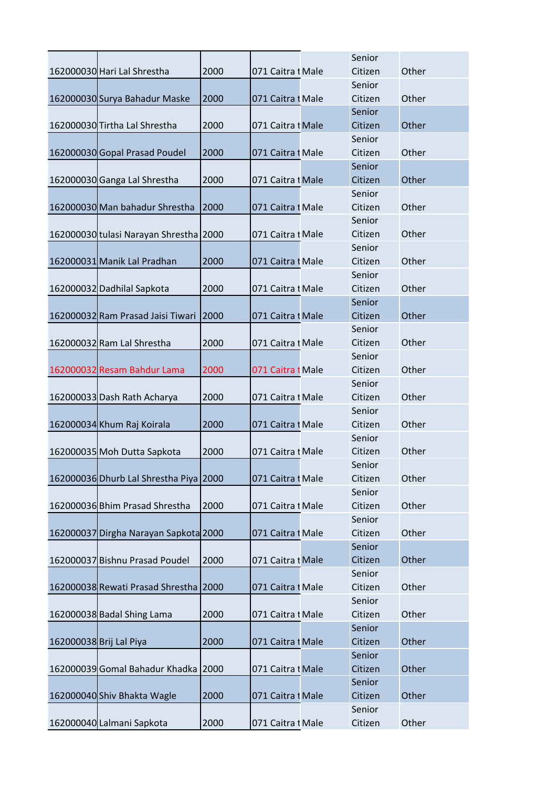|                                        |      |                   | Senior  |       |
|----------------------------------------|------|-------------------|---------|-------|
| 162000030 Hari Lal Shrestha            | 2000 | 071 Caitra t Male | Citizen | Other |
|                                        |      |                   | Senior  |       |
| 162000030 Surya Bahadur Maske          | 2000 | 071 Caitra I Male | Citizen | Other |
|                                        |      |                   | Senior  |       |
| 162000030 Tirtha Lal Shrestha          | 2000 | 071 Caitra I Male | Citizen | Other |
|                                        |      |                   | Senior  |       |
| 162000030 Gopal Prasad Poudel          | 2000 | 071 Caitra I Male | Citizen | Other |
|                                        |      |                   | Senior  |       |
| 162000030 Ganga Lal Shrestha           | 2000 | 071 Caitra I Male | Citizen | Other |
|                                        |      |                   | Senior  |       |
| 162000030 Man bahadur Shrestha         | 2000 | 071 Caitra t Male | Citizen | Other |
|                                        |      |                   | Senior  |       |
| 162000030 tulasi Narayan Shrestha 2000 |      | 071 Caitra I Male | Citizen | Other |
|                                        |      |                   | Senior  |       |
| 162000031 Manik Lal Pradhan            | 2000 | 071 Caitra I Male | Citizen | Other |
|                                        |      |                   | Senior  |       |
| 162000032 Dadhilal Sapkota             | 2000 | 071 Caitra I Male | Citizen | Other |
|                                        |      |                   | Senior  |       |
| 162000032 Ram Prasad Jaisi Tiwari      | 2000 | 071 Caitra I Male | Citizen | Other |
|                                        |      |                   | Senior  |       |
| 162000032 Ram Lal Shrestha             | 2000 | 071 Caitra I Male | Citizen | Other |
|                                        |      |                   | Senior  |       |
| 162000032 Resam Bahdur Lama            | 2000 | 071 Caitra I Male | Citizen | Other |
|                                        |      |                   | Senior  |       |
| 162000033 Dash Rath Acharya            | 2000 | 071 Caitra t Male | Citizen | Other |
|                                        |      |                   | Senior  |       |
| 162000034 Khum Raj Koirala             | 2000 | 071 Caitra I Male | Citizen | Other |
|                                        |      |                   | Senior  |       |
| 162000035 Moh Dutta Sapkota            | 2000 | 071 Caitra I Male | Citizen | Other |
|                                        |      |                   | Senior  |       |
| 162000036 Dhurb Lal Shrestha Piya 2000 |      | 071 Caitra t Male | Citizen | Other |
|                                        |      |                   | Senior  |       |
| 162000036 Bhim Prasad Shrestha         | 2000 | 071 Caitra t Male | Citizen | Other |
|                                        |      |                   | Senior  |       |
| 162000037 Dirgha Narayan Sapkota 2000  |      | 071 Caitra t Male | Citizen | Other |
|                                        |      |                   | Senior  |       |
| 162000037 Bishnu Prasad Poudel         | 2000 | 071 Caitra t Male | Citizen | Other |
|                                        |      |                   | Senior  |       |
| 162000038 Rewati Prasad Shrestha       | 2000 | 071 Caitra I Male | Citizen | Other |
|                                        |      |                   | Senior  |       |
| 162000038 Badal Shing Lama             | 2000 | 071 Caitra t Male | Citizen | Other |
|                                        |      |                   | Senior  |       |
| 162000038 Brij Lal Piya                | 2000 | 071 Caitra t Male | Citizen | Other |
|                                        |      |                   | Senior  |       |
| 162000039 Gomal Bahadur Khadka         | 2000 | 071 Caitra t Male | Citizen | Other |
|                                        |      |                   | Senior  |       |
| 162000040 Shiv Bhakta Wagle            | 2000 | 071 Caitra I Male | Citizen | Other |
|                                        |      |                   | Senior  |       |
| 162000040 Lalmani Sapkota              | 2000 | 071 Caitra I Male | Citizen | Other |